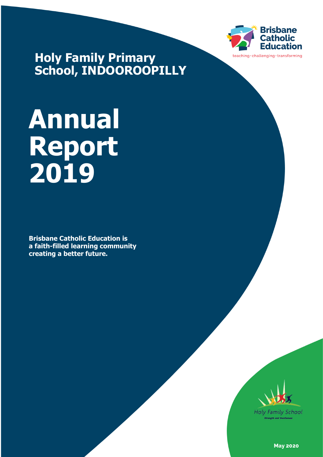

**Holy Family Primary School, INDOOROOPILLY**

# **Annual Report 2019**

**Brisbane Catholic Education is a faith-filled learning community creating a better future.**



**May 2020**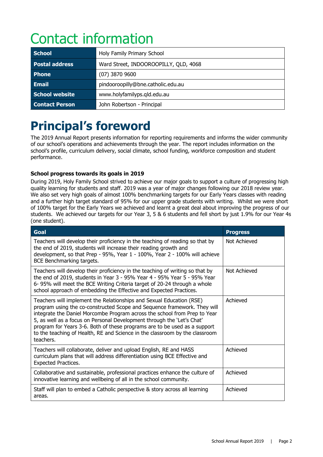# Contact information

| <b>School</b>         | Holy Family Primary School            |  |  |
|-----------------------|---------------------------------------|--|--|
| <b>Postal address</b> | Ward Street, INDOOROOPILLY, QLD, 4068 |  |  |
| <b>Phone</b>          | $(07)$ 3870 9600                      |  |  |
| <b>Email</b>          | pindooroopilly@bne.catholic.edu.au    |  |  |
| School website        | www.holyfamilyps.qld.edu.au           |  |  |
| <b>Contact Person</b> | John Robertson - Principal            |  |  |

# **Principal's foreword**

The 2019 Annual Report presents information for reporting requirements and informs the wider community of our school's operations and achievements through the year. The report includes information on the school's profile, curriculum delivery, social climate, school funding, workforce composition and student performance.

# **School progress towards its goals in 2019**

During 2019, Holy Family School strived to achieve our major goals to support a culture of progressing high quality learning for students and staff. 2019 was a year of major changes following our 2018 review year. We also set very high goals of almost 100% benchmarking targets for our Early Years classes with reading and a further high target standard of 95% for our upper grade students with writing. Whilst we were short of 100% target for the Early Years we achieved and learnt a great deal about improving the progress of our students. We achieved our targets for our Year 3, 5 & 6 students and fell short by just 1.9% for our Year 4s (one student).

| Goal                                                                                                                                                                                                                                                                                                                                                                                                                                                                             | <b>Progress</b> |
|----------------------------------------------------------------------------------------------------------------------------------------------------------------------------------------------------------------------------------------------------------------------------------------------------------------------------------------------------------------------------------------------------------------------------------------------------------------------------------|-----------------|
| Teachers will develop their proficiency in the teaching of reading so that by<br>the end of 2019, students will increase their reading growth and<br>development, so that Prep - 95%, Year 1 - 100%, Year 2 - 100% will achieve<br>BCE Benchmarking targets.                                                                                                                                                                                                                     | Not Achieved    |
| Teachers will develop their proficiency in the teaching of writing so that by<br>the end of 2019, students in Year 3 - 95% Year 4 - 95% Year 5 - 95% Year<br>6-95% will meet the BCE Writing Criteria target of 20-24 through a whole<br>school approach of embedding the Effective and Expected Practices.                                                                                                                                                                      | Not Achieved    |
| Teachers will implement the Relationships and Sexual Education (RSE)<br>program using the co-constructed Scope and Sequence framework. They will<br>integrate the Daniel Morcombe Program across the school from Prep to Year<br>5, as well as a focus on Personal Development through the 'Let's Chat'<br>program for Years 3-6. Both of these programs are to be used as a support<br>to the teaching of Health, RE and Science in the classroom by the classroom<br>teachers. | Achieved        |
| Teachers will collaborate, deliver and upload English, RE and HASS<br>curriculum plans that will address differentiation using BCE Effective and<br><b>Expected Practices.</b>                                                                                                                                                                                                                                                                                                   | Achieved        |
| Collaborative and sustainable, professional practices enhance the culture of<br>innovative learning and wellbeing of all in the school community.                                                                                                                                                                                                                                                                                                                                | Achieved        |
| Staff will plan to embed a Catholic perspective & story across all learning<br>areas.                                                                                                                                                                                                                                                                                                                                                                                            | Achieved        |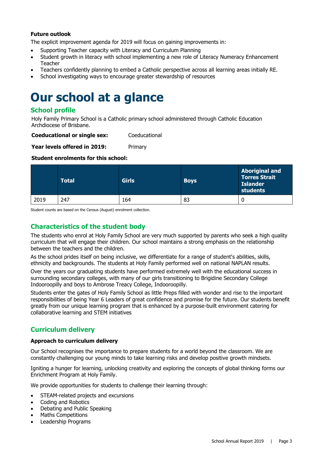#### **Future outlook**

The explicit improvement agenda for 2019 will focus on gaining improvements in:

- Supporting Teacher capacity with Literacy and Curriculum Planning
- Student growth in literacy with school implementing a new role of Literacy Numeracy Enhancement Teacher
- Teachers confidently planning to embed a Catholic perspective across all learning areas initially RE.
- School investigating ways to encourage greater stewardship of resources

# **Our school at a glance**

# **School profile**

Holy Family Primary School is a Catholic primary school administered through Catholic Education Archdiocese of Brisbane.

| <b>Coeducational or single sex:</b> |  | Coeducational |
|-------------------------------------|--|---------------|
|-------------------------------------|--|---------------|

**Year levels offered in 2019:** Primary

#### **Student enrolments for this school:**

|      | <b>Total</b> | <b>Girls</b> | <b>Boys</b> | <b>Aboriginal and</b><br><b>Torres Strait</b><br><b>Islander</b><br>students |
|------|--------------|--------------|-------------|------------------------------------------------------------------------------|
| 2019 | 247          | 164          | 83          | U                                                                            |

Student counts are based on the Census (August) enrolment collection.

# **Characteristics of the student body**

The students who enrol at Holy Family School are very much supported by parents who seek a high quality curriculum that will engage their children. Our school maintains a strong emphasis on the relationship between the teachers and the children.

As the school prides itself on being inclusive, we differentiate for a range of student's abilities, skills, ethnicity and backgrounds. The students at Holy Family performed well on national NAPLAN results.

Over the years our graduating students have performed extremely well with the educational success in surrounding secondary colleges, with many of our girls transitioning to Brigidine Secondary College Indooroopilly and boys to Ambrose Treacy College, Indooroopilly.

Students enter the gates of Holy Family School as little Preps filled with wonder and rise to the important responsibilities of being Year 6 Leaders of great confidence and promise for the future. Our students benefit greatly from our unique learning program that is enhanced by a purpose-built environment catering for collaborative learning and STEM initiatives

# **Curriculum delivery**

#### **Approach to curriculum delivery**

Our School recognises the importance to prepare students for a world beyond the classroom. We are constantly challenging our young minds to take learning risks and develop positive growth mindsets.

Igniting a hunger for learning, unlocking creativity and exploring the concepts of global thinking forms our Enrichment Program at Holy Family.

We provide opportunities for students to challenge their learning through:

- STEAM-related projects and excursions
- Coding and Robotics
- Debating and Public Speaking
- Maths Competitions
- Leadership Programs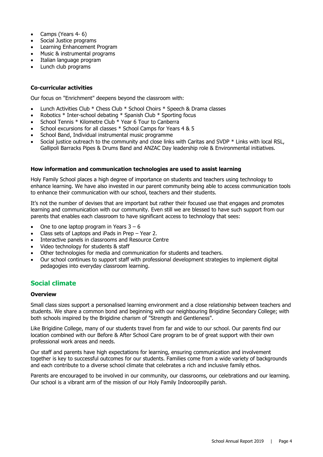- Camps (Years 4- 6)
- Social Justice programs
- Learning Enhancement Program
- Music & instrumental programs
- Italian language program
- Lunch club programs

#### **Co-curricular activities**

Our focus on "Enrichment" deepens beyond the classroom with:

- Lunch Activities Club \* Chess Club \* School Choirs \* Speech & Drama classes
- Robotics \* Inter-school debating \* Spanish Club \* Sporting focus
- School Tennis \* Kilometre Club \* Year 6 Tour to Canberra
- School excursions for all classes \* School Camps for Years 4 & 5
- School Band, Individual instrumental music programme
- Social justice outreach to the community and close links with Caritas and SVDP \* Links with local RSL, Gallipoli Barracks Pipes & Drums Band and ANZAC Day leadership role & Environmental initiatives.

#### **How information and communication technologies are used to assist learning**

Holy Family School places a high degree of importance on students and teachers using technology to enhance learning. We have also invested in our parent community being able to access communication tools to enhance their communication with our school, teachers and their students.

It's not the number of devises that are important but rather their focused use that engages and promotes learning and communication with our community. Even still we are blessed to have such support from our parents that enables each classroom to have significant access to technology that sees:

- One to one laptop program in Years  $3 6$
- Class sets of Laptops and iPads in Prep Year 2.
- Interactive panels in classrooms and Resource Centre
- Video technology for students & staff
- Other technologies for media and communication for students and teachers.
- Our school continues to support staff with professional development strategies to implement digital pedagogies into everyday classroom learning.

# **Social climate**

#### **Overview**

Small class sizes support a personalised learning environment and a close relationship between teachers and students. We share a common bond and beginning with our neighbouring Brigidine Secondary College; with both schools inspired by the Brigidine charism of "Strength and Gentleness".

Like Brigidine College, many of our students travel from far and wide to our school. Our parents find our location combined with our Before & After School Care program to be of great support with their own professional work areas and needs.

Our staff and parents have high expectations for learning, ensuring communication and involvement together is key to successful outcomes for our students. Families come from a wide variety of backgrounds and each contribute to a diverse school climate that celebrates a rich and inclusive family ethos.

Parents are encouraged to be involved in our community, our classrooms, our celebrations and our learning. Our school is a vibrant arm of the mission of our Holy Family Indooroopilly parish.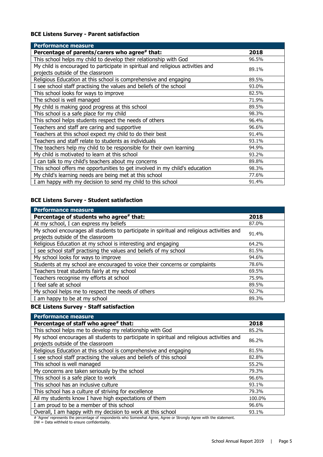### **BCE Listens Survey - Parent satisfaction**

| <b>Performance measure</b>                                                                                           |       |
|----------------------------------------------------------------------------------------------------------------------|-------|
| Percentage of parents/carers who agree# that:                                                                        | 2018  |
| This school helps my child to develop their relationship with God                                                    | 96.5% |
| My child is encouraged to participate in spiritual and religious activities and<br>projects outside of the classroom | 89.1% |
| Religious Education at this school is comprehensive and engaging                                                     | 89.5% |
| I see school staff practising the values and beliefs of the school                                                   | 93.0% |
| This school looks for ways to improve                                                                                | 82.5% |
| The school is well managed                                                                                           | 71.9% |
| My child is making good progress at this school                                                                      | 89.5% |
| This school is a safe place for my child                                                                             | 98.3% |
| This school helps students respect the needs of others                                                               | 96.4% |
| Teachers and staff are caring and supportive                                                                         | 96.6% |
| Teachers at this school expect my child to do their best                                                             | 91.4% |
| Teachers and staff relate to students as individuals                                                                 | 93.1% |
| The teachers help my child to be responsible for their own learning                                                  | 94.9% |
| My child is motivated to learn at this school                                                                        | 93.2% |
| I can talk to my child's teachers about my concerns                                                                  | 89.8% |
| This school offers me opportunities to get involved in my child's education                                          | 98.3% |
| My child's learning needs are being met at this school                                                               | 77.6% |
| I am happy with my decision to send my child to this school                                                          | 91.4% |

# **BCE Listens Survey - Student satisfaction**

| <b>Performance measure</b>                                                                                                      |       |
|---------------------------------------------------------------------------------------------------------------------------------|-------|
| Percentage of students who agree# that:                                                                                         | 2018  |
| At my school, I can express my beliefs                                                                                          | 87.0% |
| My school encourages all students to participate in spiritual and religious activities and<br>projects outside of the classroom | 91.4% |
| Religious Education at my school is interesting and engaging                                                                    | 64.2% |
| I see school staff practising the values and beliefs of my school                                                               | 81.5% |
| My school looks for ways to improve                                                                                             | 94.6% |
| Students at my school are encouraged to voice their concerns or complaints                                                      | 78.6% |
| Teachers treat students fairly at my school                                                                                     | 69.5% |
| Teachers recognise my efforts at school                                                                                         | 75.9% |
| I feel safe at school                                                                                                           | 89.5% |
| My school helps me to respect the needs of others                                                                               | 92.7% |
| I am happy to be at my school                                                                                                   | 89.3% |

### **BCE Listens Survey - Staff satisfaction**

| 2018   |
|--------|
| 85.2%  |
| 86.2%  |
| 81.5%  |
| 82.8%  |
| 55.2%  |
| 79.3%  |
| 96.6%  |
| 93.1%  |
| 79.3%  |
| 100.0% |
| 96.6%  |
| 93.1%  |
|        |

# 'Agree' represents the percentage of respondents who Somewhat Agree, Agree or Strongly Agree with the statement. DW = Data withheld to ensure confidentiality.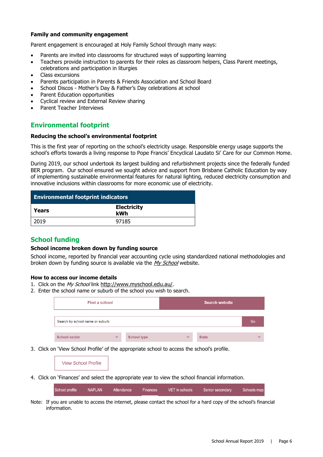#### **Family and community engagement**

Parent engagement is encouraged at Holy Family School through many ways:

- Parents are invited into classrooms for structured ways of supporting learning
- Teachers provide instruction to parents for their roles as classroom helpers, Class Parent meetings, celebrations and participation in liturgies
- Class excursions
- Parents participation in Parents & Friends Association and School Board
- School Discos Mother's Day & Father's Day celebrations at school
- Parent Education opportunities
- Cyclical review and External Review sharing
- Parent Teacher Interviews

### **Environmental footprint**

#### **Reducing the school's environmental footprint**

This is the first year of reporting on the school's electricity usage. Responsible energy usage supports the school's efforts towards a living response to Pope Francis' Encyclical Laudato Si' Care for our Common Home.

During 2019, our school undertook its largest building and refurbishment projects since the federally funded BER program. Our school ensured we sought advice and support from Brisbane Catholic Education by way of implementing sustainable environmental features for natural lighting, reduced electricity consumption and innovative inclusions within classrooms for more economic use of electricity.

| <b>Environmental footprint indicators</b> |       |  |  |  |
|-------------------------------------------|-------|--|--|--|
| <b>Electricity</b><br>Years<br>kWh        |       |  |  |  |
| 2019                                      | 97185 |  |  |  |

# **School funding**

#### **School income broken down by funding source**

School income, reported by financial year accounting cycle using standardized national methodologies and broken down by funding source is available via the [My School](http://www.myschool.edu.au/) website.

#### **How to access our income details**

- 1. Click on the My School link [http://www.myschool.edu.au/.](http://www.myschool.edu.au/)
- 2. Enter the school name or suburb of the school you wish to search.

| Find a school                   |              |                    |              | <b>Search website</b> |              |
|---------------------------------|--------------|--------------------|--------------|-----------------------|--------------|
| Search by school name or suburb |              |                    |              |                       | Go           |
| <b>School sector</b>            | $\checkmark$ | <b>School type</b> | $\checkmark$ | <b>State</b>          | $\checkmark$ |

3. Click on 'View School Profile' of the appropriate school to access the school's profile.

| <b>View School Profile</b> |  |
|----------------------------|--|
|                            |  |

4. Click on 'Finances' and select the appropriate year to view the school financial information.

| School profile NAPLAN | Attendance Finances |  | VET in schools Senior secondary Schools map |  |
|-----------------------|---------------------|--|---------------------------------------------|--|
|                       |                     |  |                                             |  |

Note: If you are unable to access the internet, please contact the school for a hard copy of the school's financial information.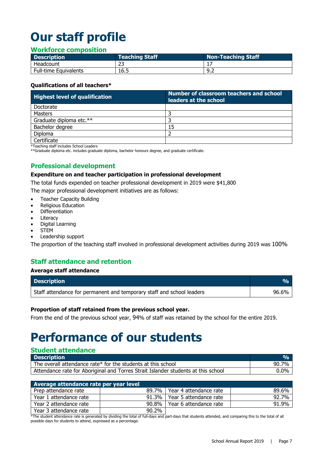# **Our staff profile**

### **Workforce composition**

| <b>Description</b>           | <b>Teaching Staff</b> | Non-Teaching Staff |
|------------------------------|-----------------------|--------------------|
| Headcount                    |                       |                    |
| <b>Full-time Equivalents</b> | 16.5                  | Q<br>ے،ر           |

#### **Qualifications of all teachers\***

| <b>Highest level of qualification</b> | Number of classroom teachers and school<br>leaders at the school |  |  |
|---------------------------------------|------------------------------------------------------------------|--|--|
| Doctorate                             |                                                                  |  |  |
| Masters                               |                                                                  |  |  |
| Graduate diploma etc.**               |                                                                  |  |  |
| Bachelor degree                       | 15                                                               |  |  |
| Diploma                               |                                                                  |  |  |
| Certificate                           |                                                                  |  |  |

\*Teaching staff includes School Leaders

\*\*Graduate diploma etc. includes graduate diploma, bachelor honours degree, and graduate certificate.

# **Professional development**

#### **Expenditure on and teacher participation in professional development**

The total funds expended on teacher professional development in 2019 were \$41,800

The major professional development initiatives are as follows:

- Teacher Capacity Building
- Religious Education
- Differentiation
- Literacy
- Digital Learning
- STEM
- Leadership support

The proportion of the teaching staff involved in professional development activities during 2019 was 100%

# **Staff attendance and retention**

#### **Average staff attendance**

| <b>Description</b>                                                    | $\mathcal{A}$ |
|-----------------------------------------------------------------------|---------------|
| Staff attendance for permanent and temporary staff and school leaders | 96.6%         |

#### **Proportion of staff retained from the previous school year.**

From the end of the previous school year, 94% of staff was retained by the school for the entire 2019.

# **Performance of our students**

### **Student attendance**

| <b>Description</b>                                                                | $\frac{0}{0}$ |
|-----------------------------------------------------------------------------------|---------------|
| The overall attendance rate* for the students at this school                      | 90.7%         |
| Attendance rate for Aboriginal and Torres Strait Islander students at this school | $0.0\%$       |

| Average attendance rate per year level |         |                                |       |
|----------------------------------------|---------|--------------------------------|-------|
| Prep attendance rate                   |         | 89.7%   Year 4 attendance rate | 89.6% |
| Year 1 attendance rate                 |         | 91.3%   Year 5 attendance rate | 92.7% |
| Year 2 attendance rate                 | 90.8% l | l Year 6 attendance rate       | 91.9% |
| Year 3 attendance rate                 | 90.2%   |                                |       |

\*The student attendance rate is generated by dividing the total of full-days and part-days that students attended, and comparing this to the total of all possible days for students to attend, expressed as a percentage.